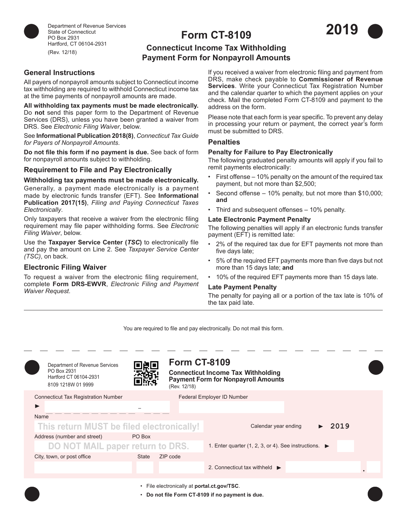

Department of Revenue Services State of Connecticut PO Box 2931 Hartford, CT 06104-2931 (Rev. 12/18)

# **Form CT-8109**



## **Connecticut Income Tax Withholding Payment Form for Nonpayroll Amounts**

## **General Instructions**

All payers of nonpayroll amounts subject to Connecticut income tax withholding are required to withhold Connecticut income tax at the time payments of nonpayroll amounts are made.

**All withholding tax payments must be made electronically.**  Do **not** send this paper form to the Department of Revenue Services (DRS), unless you have been granted a waiver from DRS. See *Electronic Filing Waiver*, below.

See **Informational Publication 2018(8)**, *Connecticut Tax Guide for Payers of Nonpayroll Amounts*.

**Do not file this form if no payment is due.** See back of form for nonpayroll amounts subject to withholding.

#### **Requirement to File and Pay Electronically**

#### **Withholding tax payments must be made electronically.**

Generally, a payment made electronically is a payment made by electronic funds transfer (EFT). See **Informational Publication 2017(15)**, *Filing and Paying Connecticut Taxes Electronically*.

Only taxpayers that receive a waiver from the electronic filing requirement may file paper withholding forms. See *Electronic Filing Waiver*, below.

Use the **Taxpayer Service Center (***TSC***)** to electronically file and pay the amount on Line 2. See *Taxpayer Service Center (TSC)*, on back.

## **Electronic Filing Waiver**

To request a waiver from the electronic filing requirement, complete **Form DRS-EWVR**, *Electronic Filing and Payment Waiver Request*.

If you received a waiver from electronic filing and payment from DRS, make check payable to **Commissioner of Revenue Services**. Write your Connecticut Tax Registration Number and the calendar quarter to which the payment applies on your check. Mail the completed Form CT-8109 and payment to the address on the form.

Please note that each form is year specific. To prevent any delay in processing your return or payment, the correct year's form must be submitted to DRS.

#### **Penalties**

#### **Penalty for Failure to Pay Electronically**

The following graduated penalty amounts will apply if you fail to remit payments electronically:

- First offense 10% penalty on the amount of the required tax payment, but not more than \$2,500;
- Second offense 10% penalty, but not more than \$10,000; **and**
- Third and subsequent offenses 10% penalty.

#### **Late Electronic Payment Penalty**

The following penalties will apply if an electronic funds transfer payment (EFT) is remitted late:

- 2% of the required tax due for EFT payments not more than five days late;
- 5% of the required EFT payments more than five days but not more than 15 days late; **and**
- 10% of the required EFT payments more than 15 days late.

#### **Late Payment Penalty**

The penalty for paying all or a portion of the tax late is 10% of the tax paid late.

You are required to file and pay electronically. Do not mail this form.

| Department of Revenue Services<br>PO Box 2931<br>Hartford CT 06104-2931<br>8109 1218W 01 9999   |                 | <b>Form CT-8109</b><br>(Rev. 12/18) | <b>Connecticut Income Tax Withholding</b><br><b>Payment Form for Nonpayroll Amounts</b> |  |
|-------------------------------------------------------------------------------------------------|-----------------|-------------------------------------|-----------------------------------------------------------------------------------------|--|
| <b>Connecticut Tax Registration Number</b><br>Name<br>This return MUST be filed electronically! |                 |                                     | Federal Employer ID Number<br>Calendar year ending<br>2019                              |  |
| Address (number and street)<br>DO NOT MAIL paper return to DRS.<br>City, town, or post office   | PO Box<br>State | ZIP code                            | 1. Enter quarter (1, 2, 3, or 4). See instructions. $\blacktriangleright$               |  |
|                                                                                                 |                 |                                     | 2. Connecticut tax withheld $\blacktriangleright$                                       |  |
| File electronically at portal.ct.gov/TSC.<br>• Do not file Form CT-8109 if no payment is due.   |                 |                                     |                                                                                         |  |